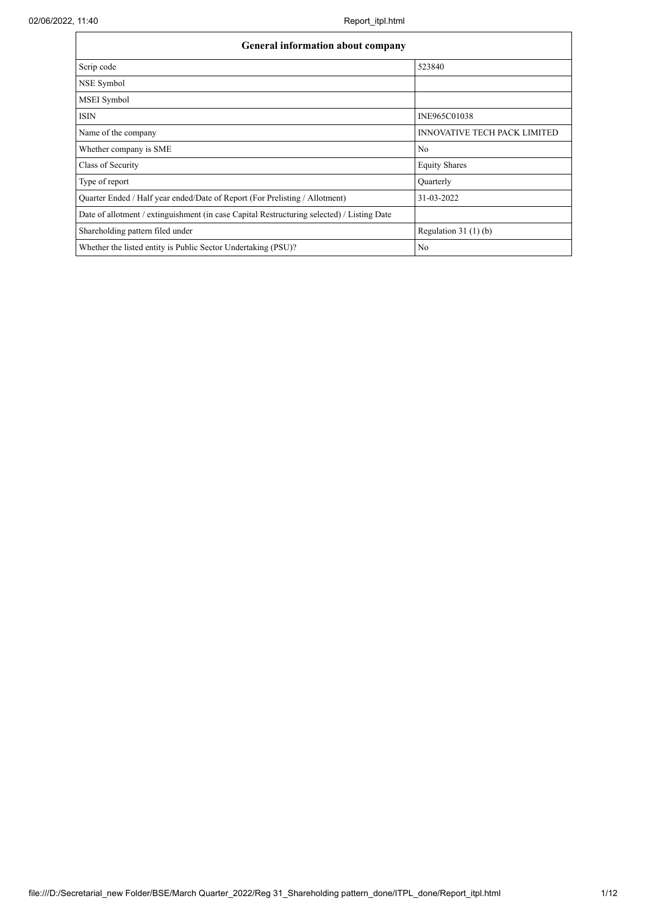| <b>General information about company</b>                                                   |                                     |  |  |  |  |  |  |  |
|--------------------------------------------------------------------------------------------|-------------------------------------|--|--|--|--|--|--|--|
| Scrip code                                                                                 | 523840                              |  |  |  |  |  |  |  |
| NSE Symbol                                                                                 |                                     |  |  |  |  |  |  |  |
| MSEI Symbol                                                                                |                                     |  |  |  |  |  |  |  |
| <b>ISIN</b>                                                                                | INE965C01038                        |  |  |  |  |  |  |  |
| Name of the company                                                                        | <b>INNOVATIVE TECH PACK LIMITED</b> |  |  |  |  |  |  |  |
| Whether company is SME                                                                     | N <sub>0</sub>                      |  |  |  |  |  |  |  |
| Class of Security                                                                          | <b>Equity Shares</b>                |  |  |  |  |  |  |  |
| Type of report                                                                             | Quarterly                           |  |  |  |  |  |  |  |
| Quarter Ended / Half year ended/Date of Report (For Prelisting / Allotment)                | 31-03-2022                          |  |  |  |  |  |  |  |
| Date of allotment / extinguishment (in case Capital Restructuring selected) / Listing Date |                                     |  |  |  |  |  |  |  |
| Shareholding pattern filed under                                                           | Regulation $31(1)(b)$               |  |  |  |  |  |  |  |
| Whether the listed entity is Public Sector Undertaking (PSU)?                              | No                                  |  |  |  |  |  |  |  |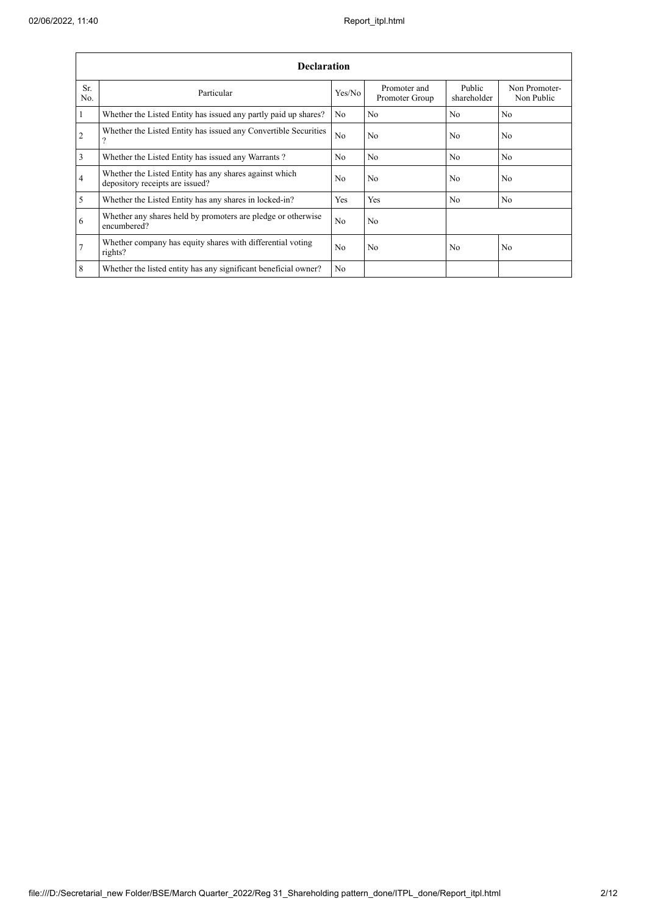$\mathbf{r}$ 

|                 | <b>Declaration</b>                                                                        |                |                                |                       |                             |  |  |  |  |  |  |
|-----------------|-------------------------------------------------------------------------------------------|----------------|--------------------------------|-----------------------|-----------------------------|--|--|--|--|--|--|
| Sr.<br>No.      | Particular                                                                                | Yes/No         | Promoter and<br>Promoter Group | Public<br>shareholder | Non Promoter-<br>Non Public |  |  |  |  |  |  |
| $\vert$ 1       | Whether the Listed Entity has issued any partly paid up shares?                           | No             | N <sub>0</sub>                 | N <sub>0</sub>        | N <sub>0</sub>              |  |  |  |  |  |  |
| $\overline{2}$  | Whether the Listed Entity has issued any Convertible Securities<br>$\gamma$               | No             | N <sub>0</sub>                 | N <sub>0</sub>        | N <sub>0</sub>              |  |  |  |  |  |  |
| $\overline{3}$  | Whether the Listed Entity has issued any Warrants?                                        | N <sub>0</sub> | No                             | N <sub>o</sub>        | No                          |  |  |  |  |  |  |
| $\overline{4}$  | Whether the Listed Entity has any shares against which<br>depository receipts are issued? | No             | N <sub>0</sub>                 | N <sub>0</sub>        | N <sub>0</sub>              |  |  |  |  |  |  |
| $\overline{5}$  | Whether the Listed Entity has any shares in locked-in?                                    | Yes            | Yes                            | N <sub>0</sub>        | N <sub>0</sub>              |  |  |  |  |  |  |
| 6               | Whether any shares held by promoters are pledge or otherwise<br>encumbered?               | No             | N <sub>0</sub>                 |                       |                             |  |  |  |  |  |  |
| $\overline{7}$  | Whether company has equity shares with differential voting<br>rights?                     | N <sub>0</sub> | N <sub>0</sub>                 | N <sub>0</sub>        | N <sub>0</sub>              |  |  |  |  |  |  |
| $8\phantom{.}8$ | Whether the listed entity has any significant beneficial owner?                           | N <sub>0</sub> |                                |                       |                             |  |  |  |  |  |  |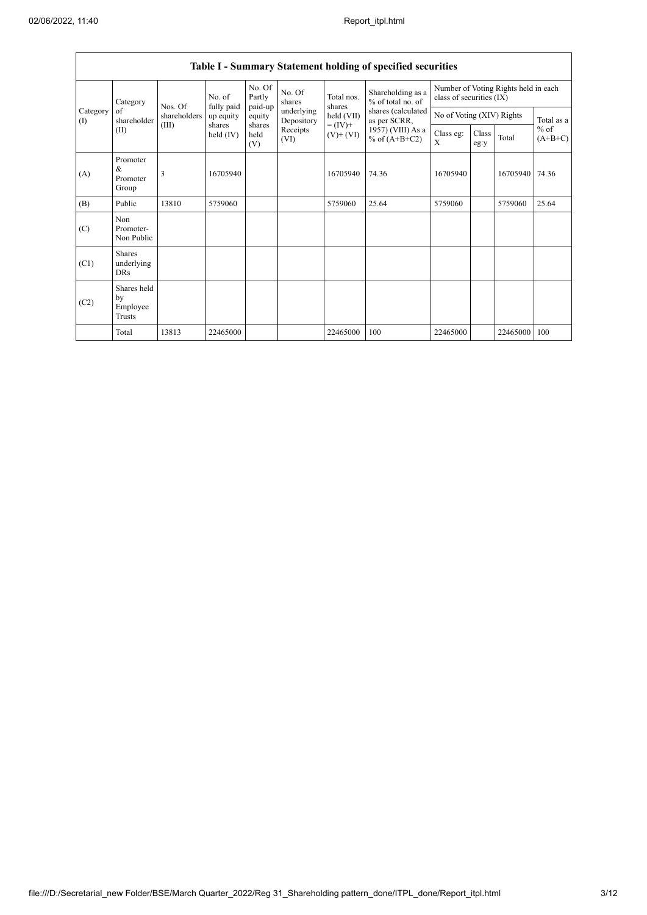$\overline{1}$ 

| Table I - Summary Statement holding of specified securities |                                           |              |                         |                             |                          |                                                                    |                                                                                                                      |                                                                  |               |          |                                   |
|-------------------------------------------------------------|-------------------------------------------|--------------|-------------------------|-----------------------------|--------------------------|--------------------------------------------------------------------|----------------------------------------------------------------------------------------------------------------------|------------------------------------------------------------------|---------------|----------|-----------------------------------|
|                                                             | Category                                  | Nos. Of      | No. of                  | No. Of<br>Partly<br>paid-up | No. Of<br>shares         | Total nos.<br>shares<br>held (VII)<br>$= (IV) +$<br>$(V)$ + $(VI)$ | Shareholding as a<br>% of total no. of<br>shares (calculated<br>as per SCRR,<br>1957) (VIII) As a<br>% of $(A+B+C2)$ | Number of Voting Rights held in each<br>class of securities (IX) |               |          |                                   |
| Category<br>$\rm(D)$                                        | of<br>shareholder                         | shareholders | fully paid<br>up equity | equity                      | underlying<br>Depository |                                                                    |                                                                                                                      | No of Voting (XIV) Rights                                        |               |          | Total as a<br>$%$ of<br>$(A+B+C)$ |
|                                                             | (II)                                      | (III)        | shares<br>held $(IV)$   | shares<br>held<br>(V)       | Receipts<br>(VI)         |                                                                    |                                                                                                                      | Class eg:<br>X                                                   | Class<br>eg:y | Total    |                                   |
| (A)                                                         | Promoter<br>&<br>Promoter<br>Group        | 3            | 16705940                |                             |                          | 16705940                                                           | 74.36                                                                                                                | 16705940                                                         |               | 16705940 | 74.36                             |
| (B)                                                         | Public                                    | 13810        | 5759060                 |                             |                          | 5759060                                                            | 25.64                                                                                                                | 5759060                                                          |               | 5759060  | 25.64                             |
| (C)                                                         | Non<br>Promoter-<br>Non Public            |              |                         |                             |                          |                                                                    |                                                                                                                      |                                                                  |               |          |                                   |
| (C1)                                                        | <b>Shares</b><br>underlying<br><b>DRs</b> |              |                         |                             |                          |                                                                    |                                                                                                                      |                                                                  |               |          |                                   |
| (C2)                                                        | Shares held<br>by<br>Employee<br>Trusts   |              |                         |                             |                          |                                                                    |                                                                                                                      |                                                                  |               |          |                                   |
|                                                             | Total                                     | 13813        | 22465000                |                             |                          | 22465000                                                           | 100                                                                                                                  | 22465000                                                         |               | 22465000 | 100                               |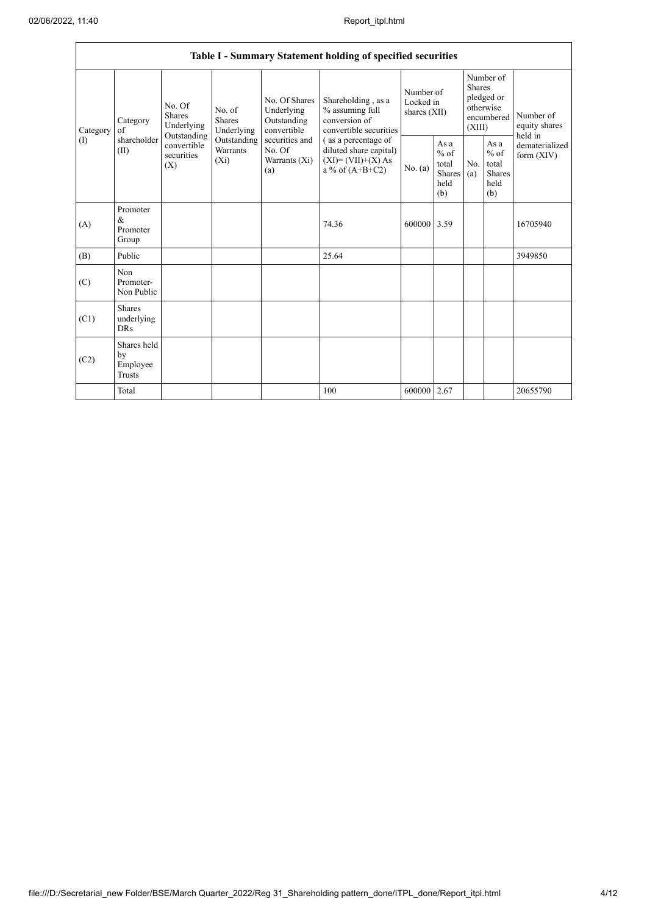| Table I - Summary Statement holding of specified securities |                                                |                                                      |                                |                                                                                                               |                                                                                                                                                                               |                                        |                                                         |                                                                               |                                                         |                                       |
|-------------------------------------------------------------|------------------------------------------------|------------------------------------------------------|--------------------------------|---------------------------------------------------------------------------------------------------------------|-------------------------------------------------------------------------------------------------------------------------------------------------------------------------------|----------------------------------------|---------------------------------------------------------|-------------------------------------------------------------------------------|---------------------------------------------------------|---------------------------------------|
| Category<br>(1)                                             | Category<br>of<br>shareholder<br>(II)          | No. Of<br><b>Shares</b><br>Underlying<br>Outstanding | No. of<br>Shares<br>Underlying | No. Of Shares<br>Underlying<br>Outstanding<br>convertible<br>securities and<br>No. Of<br>Warrants (Xi)<br>(a) | Shareholding, as a<br>% assuming full<br>conversion of<br>convertible securities<br>(as a percentage of<br>diluted share capital)<br>$(XI)=(VII)+(X) As$<br>a % of $(A+B+C2)$ | Number of<br>Locked in<br>shares (XII) |                                                         | Number of<br><b>Shares</b><br>pledged or<br>otherwise<br>encumbered<br>(XIII) |                                                         | Number of<br>equity shares<br>held in |
|                                                             |                                                | convertible<br>securities<br>$(X_i)$<br>(X)          | Outstanding<br>Warrants        |                                                                                                               |                                                                                                                                                                               | No. (a)                                | As a<br>$%$ of<br>total<br><b>Shares</b><br>held<br>(b) | N <sub>o</sub><br>(a)                                                         | As a<br>$%$ of<br>total<br><b>Shares</b><br>held<br>(b) | dematerialized<br>form $(XIV)$        |
| (A)                                                         | Promoter<br>$\&$<br>Promoter<br>Group          |                                                      |                                |                                                                                                               | 74.36                                                                                                                                                                         | 600000                                 | 3.59                                                    |                                                                               |                                                         | 16705940                              |
| (B)                                                         | Public                                         |                                                      |                                |                                                                                                               | 25.64                                                                                                                                                                         |                                        |                                                         |                                                                               |                                                         | 3949850                               |
| (C)                                                         | Non<br>Promoter-<br>Non Public                 |                                                      |                                |                                                                                                               |                                                                                                                                                                               |                                        |                                                         |                                                                               |                                                         |                                       |
| (C1)                                                        | <b>Shares</b><br>underlying<br><b>DRs</b>      |                                                      |                                |                                                                                                               |                                                                                                                                                                               |                                        |                                                         |                                                                               |                                                         |                                       |
| (C2)                                                        | Shares held<br>by<br>Employee<br><b>Trusts</b> |                                                      |                                |                                                                                                               |                                                                                                                                                                               |                                        |                                                         |                                                                               |                                                         |                                       |
|                                                             | Total                                          |                                                      |                                |                                                                                                               | 100                                                                                                                                                                           | 600000                                 | 2.67                                                    |                                                                               |                                                         | 20655790                              |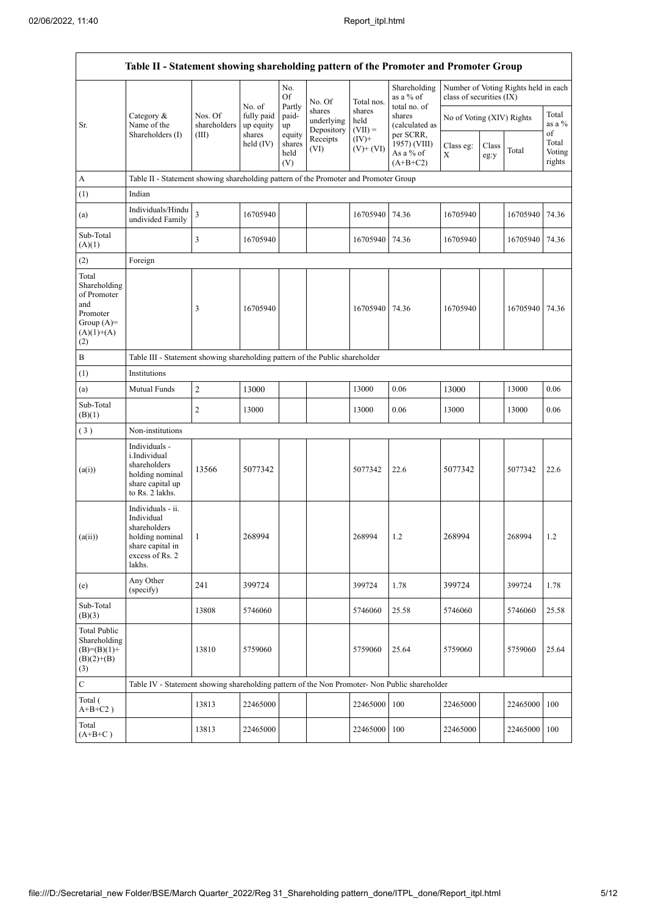$\mathsf{r}$ 

 $\overline{\phantom{a}}$ 

| Table II - Statement showing shareholding pattern of the Promoter and Promoter Group           |                                                                                                                     |                                  |                                                            |                                 |                                    |                             |                                                      |                           |               |                                      |                           |
|------------------------------------------------------------------------------------------------|---------------------------------------------------------------------------------------------------------------------|----------------------------------|------------------------------------------------------------|---------------------------------|------------------------------------|-----------------------------|------------------------------------------------------|---------------------------|---------------|--------------------------------------|---------------------------|
|                                                                                                |                                                                                                                     |                                  | No. of<br>fully paid<br>up equity<br>shares<br>held $(IV)$ | No.<br>Of                       | No. Of                             | Total nos.                  | Shareholding<br>as a % of<br>total no. of            | class of securities (IX)  |               | Number of Voting Rights held in each |                           |
| Sr.                                                                                            | Category $\&$<br>Name of the<br>Shareholders (I)                                                                    | Nos. Of<br>shareholders<br>(III) |                                                            | Partly<br>paid-<br>up           | shares<br>underlying<br>Depository | shares<br>held<br>$(VII) =$ | shares<br>(calculated as                             | No of Voting (XIV) Rights |               |                                      | Total<br>as a %<br>of     |
|                                                                                                |                                                                                                                     |                                  |                                                            | equity<br>shares<br>held<br>(V) | Receipts<br>(VI)                   | $(IV)$ +<br>$(V)+(VI)$      | per SCRR,<br>1957) (VIII)<br>As a % of<br>$(A+B+C2)$ | Class eg:<br>X            | Class<br>eg:y | Total                                | Total<br>Voting<br>rights |
| A                                                                                              | Table II - Statement showing shareholding pattern of the Promoter and Promoter Group                                |                                  |                                                            |                                 |                                    |                             |                                                      |                           |               |                                      |                           |
| (1)                                                                                            | Indian                                                                                                              |                                  |                                                            |                                 |                                    |                             |                                                      |                           |               |                                      |                           |
| (a)                                                                                            | Individuals/Hindu<br>undivided Family                                                                               | $\overline{\mathbf{3}}$          | 16705940                                                   |                                 |                                    | 16705940                    | 74.36                                                | 16705940                  |               | 16705940                             | 74.36                     |
| Sub-Total<br>(A)(1)                                                                            |                                                                                                                     | 3                                | 16705940                                                   |                                 |                                    | 16705940                    | 74.36                                                | 16705940                  |               | 16705940                             | 74.36                     |
| (2)                                                                                            | Foreign                                                                                                             |                                  |                                                            |                                 |                                    |                             |                                                      |                           |               |                                      |                           |
| Total<br>Shareholding<br>of Promoter<br>and<br>Promoter<br>Group $(A)=$<br>$(A)(1)+(A)$<br>(2) |                                                                                                                     | 3                                | 16705940                                                   |                                 |                                    | 16705940                    | 74.36                                                | 16705940                  |               | 16705940                             | 74.36                     |
| B                                                                                              | Table III - Statement showing shareholding pattern of the Public shareholder                                        |                                  |                                                            |                                 |                                    |                             |                                                      |                           |               |                                      |                           |
| (1)                                                                                            | Institutions                                                                                                        |                                  |                                                            |                                 |                                    |                             |                                                      |                           |               |                                      |                           |
| (a)                                                                                            | Mutual Funds                                                                                                        | 2                                | 13000                                                      |                                 |                                    | 13000                       | 0.06                                                 | 13000                     |               | 13000                                | 0.06                      |
| Sub-Total<br>(B)(1)                                                                            |                                                                                                                     | 2                                | 13000                                                      |                                 |                                    | 13000                       | 0.06                                                 | 13000                     |               | 13000                                | 0.06                      |
| (3)                                                                                            | Non-institutions                                                                                                    |                                  |                                                            |                                 |                                    |                             |                                                      |                           |               |                                      |                           |
| (a(i))                                                                                         | Individuals -<br>i.Individual<br>shareholders<br>holding nominal<br>share capital up<br>to Rs. 2 lakhs.             | 13566                            | 5077342                                                    |                                 |                                    | 5077342                     | 22.6                                                 | 5077342                   |               | 5077342                              | 22.6                      |
| (a(ii))                                                                                        | Individuals - ii.<br>Individual<br>shareholders<br>holding nominal<br>share capital in<br>excess of Rs. 2<br>lakhs. | 1                                | 268994                                                     |                                 |                                    | 268994                      | 1.2                                                  | 268994                    |               | 268994                               | 1.2                       |
| (e)                                                                                            | Any Other<br>(specify)                                                                                              | 241                              | 399724                                                     |                                 |                                    | 399724                      | 1.78                                                 | 399724                    |               | 399724                               | 1.78                      |
| Sub-Total<br>(B)(3)                                                                            |                                                                                                                     | 13808                            | 5746060                                                    |                                 |                                    | 5746060                     | 25.58                                                | 5746060                   |               | 5746060                              | 25.58                     |
| <b>Total Public</b><br>Shareholding<br>$(B)=(B)(1)+$<br>$(B)(2)+(B)$<br>(3)                    |                                                                                                                     | 13810                            | 5759060                                                    |                                 |                                    | 5759060                     | 25.64                                                | 5759060                   |               | 5759060                              | 25.64                     |
| $\mathbf C$                                                                                    | Table IV - Statement showing shareholding pattern of the Non Promoter- Non Public shareholder                       |                                  |                                                            |                                 |                                    |                             |                                                      |                           |               |                                      |                           |
| Total (<br>$A+B+C2$ )                                                                          |                                                                                                                     | 13813                            | 22465000                                                   |                                 |                                    | 22465000                    | 100                                                  | 22465000                  |               | 22465000                             | 100                       |
| Total<br>$(A+B+C)$                                                                             |                                                                                                                     | 13813                            | 22465000                                                   |                                 |                                    | 22465000                    | 100                                                  | 22465000                  |               | 22465000                             | 100                       |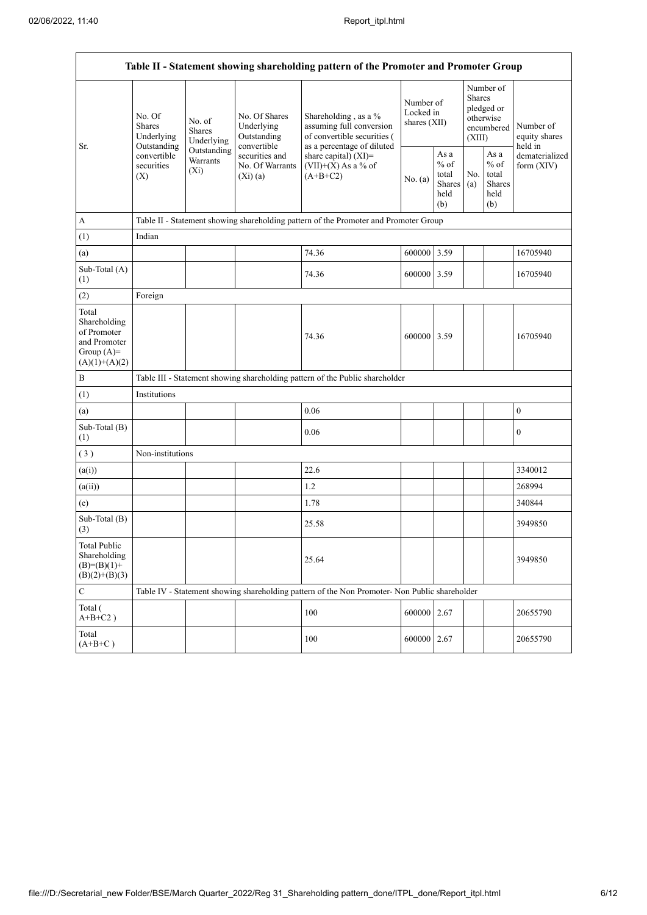| Table II - Statement showing shareholding pattern of the Promoter and Promoter Group    |                                                 |                                       |                                                           |                                                                                                                   |                                        |                                                  |                                                                               |                                                         |                                       |  |
|-----------------------------------------------------------------------------------------|-------------------------------------------------|---------------------------------------|-----------------------------------------------------------|-------------------------------------------------------------------------------------------------------------------|----------------------------------------|--------------------------------------------------|-------------------------------------------------------------------------------|---------------------------------------------------------|---------------------------------------|--|
|                                                                                         | No. Of<br><b>Shares</b><br>Underlying           | No. of<br><b>Shares</b><br>Underlying | No. Of Shares<br>Underlying<br>Outstanding<br>convertible | Shareholding , as a $\%$<br>assuming full conversion<br>of convertible securities (<br>as a percentage of diluted | Number of<br>Locked in<br>shares (XII) |                                                  | Number of<br><b>Shares</b><br>pledged or<br>otherwise<br>encumbered<br>(XIII) |                                                         | Number of<br>equity shares<br>held in |  |
| Sr.                                                                                     | Outstanding<br>convertible<br>securities<br>(X) | Outstanding<br>Warrants<br>$(X_i)$    | securities and<br>No. Of Warrants<br>(Xi)(a)              | share capital) (XI)=<br>$(VII)+(X)$ As a % of<br>$(A+B+C2)$                                                       | No. $(a)$                              | As a<br>$%$ of<br>total<br>Shares<br>held<br>(b) | No.<br>(a)                                                                    | As a<br>$%$ of<br>total<br><b>Shares</b><br>held<br>(b) | dematerialized<br>form $(XIV)$        |  |
| A                                                                                       |                                                 |                                       |                                                           | Table II - Statement showing shareholding pattern of the Promoter and Promoter Group                              |                                        |                                                  |                                                                               |                                                         |                                       |  |
| (1)                                                                                     | Indian                                          |                                       |                                                           |                                                                                                                   |                                        |                                                  |                                                                               |                                                         |                                       |  |
| (a)                                                                                     |                                                 |                                       |                                                           | 74.36                                                                                                             | 600000 3.59                            |                                                  |                                                                               |                                                         | 16705940                              |  |
| Sub-Total (A)<br>(1)                                                                    |                                                 |                                       |                                                           | 74.36                                                                                                             | 600000 3.59                            |                                                  |                                                                               |                                                         | 16705940                              |  |
| (2)                                                                                     | Foreign                                         |                                       |                                                           |                                                                                                                   |                                        |                                                  |                                                                               |                                                         |                                       |  |
| Total<br>Shareholding<br>of Promoter<br>and Promoter<br>Group $(A)=$<br>$(A)(1)+(A)(2)$ |                                                 |                                       |                                                           | 74.36                                                                                                             | 600000 3.59                            |                                                  |                                                                               |                                                         | 16705940                              |  |
| $\, {\bf B}$                                                                            |                                                 |                                       |                                                           | Table III - Statement showing shareholding pattern of the Public shareholder                                      |                                        |                                                  |                                                                               |                                                         |                                       |  |
| (1)                                                                                     | Institutions                                    |                                       |                                                           |                                                                                                                   |                                        |                                                  |                                                                               |                                                         |                                       |  |
| (a)                                                                                     |                                                 |                                       |                                                           | 0.06                                                                                                              |                                        |                                                  |                                                                               |                                                         | $\boldsymbol{0}$                      |  |
| Sub-Total (B)<br>(1)                                                                    |                                                 |                                       |                                                           | 0.06                                                                                                              |                                        |                                                  |                                                                               |                                                         | $\boldsymbol{0}$                      |  |
| (3)                                                                                     | Non-institutions                                |                                       |                                                           |                                                                                                                   |                                        |                                                  |                                                                               |                                                         |                                       |  |
| (a(i))                                                                                  |                                                 |                                       |                                                           | 22.6                                                                                                              |                                        |                                                  |                                                                               |                                                         | 3340012                               |  |
| (a(ii))                                                                                 |                                                 |                                       |                                                           | 1.2                                                                                                               |                                        |                                                  |                                                                               |                                                         | 268994                                |  |
| (e)                                                                                     |                                                 |                                       |                                                           | 1.78                                                                                                              |                                        |                                                  |                                                                               |                                                         | 340844                                |  |
| Sub-Total (B)<br>(3)                                                                    |                                                 |                                       |                                                           | 25.58                                                                                                             |                                        |                                                  |                                                                               |                                                         | 3949850                               |  |
| <b>Total Public</b><br>Shareholding<br>$(B)= (B)(1) +$<br>$(B)(2)+(B)(3)$               |                                                 |                                       |                                                           | 25.64                                                                                                             |                                        |                                                  |                                                                               |                                                         | 3949850                               |  |
| $\mathbf C$                                                                             |                                                 |                                       |                                                           | Table IV - Statement showing shareholding pattern of the Non Promoter- Non Public shareholder                     |                                        |                                                  |                                                                               |                                                         |                                       |  |
| Total (<br>$A+B+C2$ )                                                                   |                                                 |                                       |                                                           | 100                                                                                                               | 600000 2.67                            |                                                  |                                                                               |                                                         | 20655790                              |  |
| Total<br>$(A+B+C)$                                                                      |                                                 |                                       |                                                           | 100                                                                                                               | 600000 2.67                            |                                                  |                                                                               |                                                         | 20655790                              |  |
|                                                                                         |                                                 |                                       |                                                           |                                                                                                                   |                                        |                                                  |                                                                               |                                                         |                                       |  |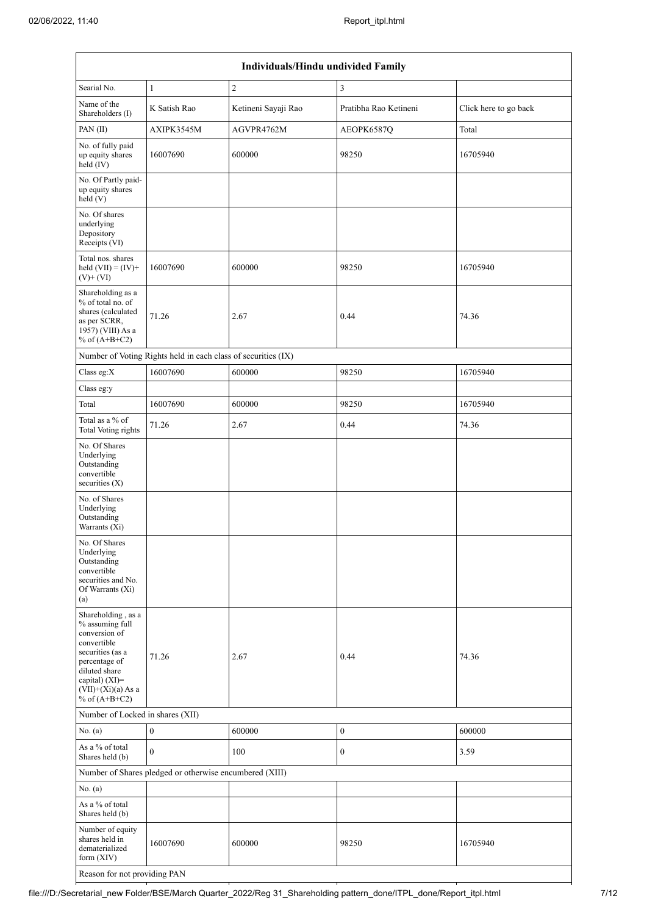| Individuals/Hindu undivided Family                                                                                                                                                                   |                                                               |                     |                       |                       |  |  |  |  |  |  |
|------------------------------------------------------------------------------------------------------------------------------------------------------------------------------------------------------|---------------------------------------------------------------|---------------------|-----------------------|-----------------------|--|--|--|--|--|--|
| Searial No.                                                                                                                                                                                          | $\mathbf{1}$                                                  | $\overline{c}$      | 3                     |                       |  |  |  |  |  |  |
| Name of the<br>Shareholders (I)                                                                                                                                                                      | K Satish Rao                                                  | Ketineni Sayaji Rao | Pratibha Rao Ketineni | Click here to go back |  |  |  |  |  |  |
| PAN(II)                                                                                                                                                                                              | AXIPK3545M                                                    | AGVPR4762M          | AEOPK6587Q            | Total                 |  |  |  |  |  |  |
| No. of fully paid<br>up equity shares<br>held (IV)                                                                                                                                                   | 16007690                                                      | 600000              | 98250                 | 16705940              |  |  |  |  |  |  |
| No. Of Partly paid-<br>up equity shares<br>held(V)                                                                                                                                                   |                                                               |                     |                       |                       |  |  |  |  |  |  |
| No. Of shares<br>underlying<br>Depository<br>Receipts (VI)                                                                                                                                           |                                                               |                     |                       |                       |  |  |  |  |  |  |
| Total nos. shares<br>held $(VII) = (IV) +$<br>$(V)$ + $(VI)$                                                                                                                                         | 16007690                                                      | 600000              | 98250                 | 16705940              |  |  |  |  |  |  |
| Shareholding as a<br>% of total no. of<br>shares (calculated<br>71.26<br>as per SCRR,<br>1957) (VIII) As a<br>% of $(A+B+C2)$                                                                        |                                                               | 2.67                | 0.44                  | 74.36                 |  |  |  |  |  |  |
|                                                                                                                                                                                                      | Number of Voting Rights held in each class of securities (IX) |                     |                       |                       |  |  |  |  |  |  |
| Class eg:X                                                                                                                                                                                           | 16007690                                                      | 600000              | 98250                 | 16705940              |  |  |  |  |  |  |
| Class eg:y                                                                                                                                                                                           |                                                               |                     |                       |                       |  |  |  |  |  |  |
| Total                                                                                                                                                                                                | 16007690                                                      | 600000              | 98250                 | 16705940              |  |  |  |  |  |  |
| Total as a % of<br><b>Total Voting rights</b>                                                                                                                                                        | 71.26                                                         | 2.67                | 0.44                  | 74.36                 |  |  |  |  |  |  |
| No. Of Shares<br>Underlying<br>Outstanding<br>convertible<br>securities $(X)$                                                                                                                        |                                                               |                     |                       |                       |  |  |  |  |  |  |
| No. of Shares<br>Underlying<br>Outstanding<br>Warrants (Xi)                                                                                                                                          |                                                               |                     |                       |                       |  |  |  |  |  |  |
| No. Of Shares<br>Underlying<br>Outstanding<br>convertible<br>securities and No.<br>Of Warrants (Xi)<br>(a)                                                                                           |                                                               |                     |                       |                       |  |  |  |  |  |  |
| Shareholding, as a<br>% assuming full<br>conversion of<br>convertible<br>securities (as a<br>71.26<br>percentage of<br>diluted share<br>capital) $(XI)$ =<br>$(VII)+(Xi)(a)$ As a<br>% of $(A+B+C2)$ |                                                               | 2.67                | 0.44                  | 74.36                 |  |  |  |  |  |  |
| Number of Locked in shares (XII)                                                                                                                                                                     |                                                               |                     |                       |                       |  |  |  |  |  |  |
| No. (a)                                                                                                                                                                                              | $\boldsymbol{0}$                                              | 600000              | $\boldsymbol{0}$      | 600000                |  |  |  |  |  |  |
| As a % of total<br>Shares held (b)                                                                                                                                                                   | $\mathbf{0}$                                                  | 100                 | $\boldsymbol{0}$      | 3.59                  |  |  |  |  |  |  |
|                                                                                                                                                                                                      | Number of Shares pledged or otherwise encumbered (XIII)       |                     |                       |                       |  |  |  |  |  |  |
| No. (a)                                                                                                                                                                                              |                                                               |                     |                       |                       |  |  |  |  |  |  |
| As a % of total<br>Shares held (b)                                                                                                                                                                   |                                                               |                     |                       |                       |  |  |  |  |  |  |
| Number of equity<br>shares held in<br>dematerialized<br>form $(XIV)$                                                                                                                                 | 16007690                                                      | 600000              | 98250                 | 16705940              |  |  |  |  |  |  |
| Reason for not providing PAN                                                                                                                                                                         |                                                               |                     |                       |                       |  |  |  |  |  |  |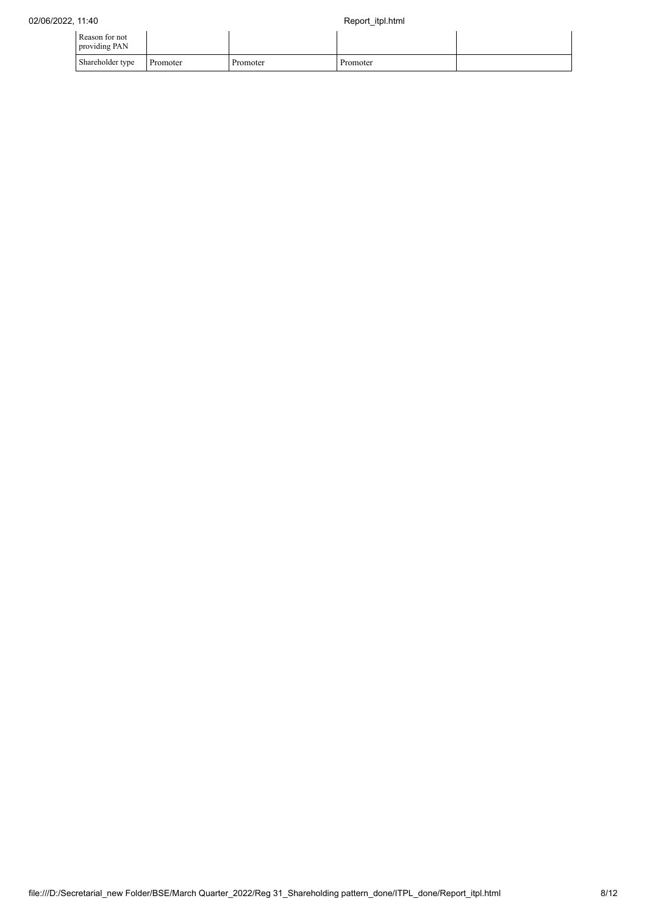| Reason for not<br>providing PAN |          |          |          |  |
|---------------------------------|----------|----------|----------|--|
| Shareholder type                | Promoter | Promoter | Promoter |  |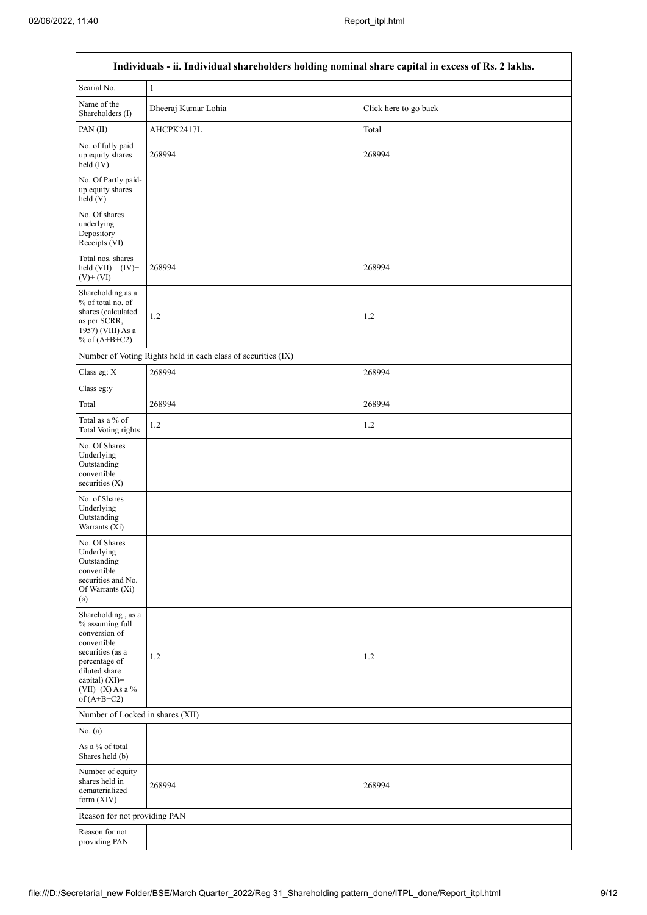$\mathbf{r}$ 

٦

|                                                                                                                                                                                         | Individuals - ii. Individual shareholders holding nominal share capital in excess of Rs. 2 lakhs. |                       |
|-----------------------------------------------------------------------------------------------------------------------------------------------------------------------------------------|---------------------------------------------------------------------------------------------------|-----------------------|
| Searial No.                                                                                                                                                                             | $\,1$                                                                                             |                       |
| Name of the<br>Shareholders (I)                                                                                                                                                         | Dheeraj Kumar Lohia                                                                               | Click here to go back |
| PAN(II)                                                                                                                                                                                 | AHCPK2417L                                                                                        | Total                 |
| No. of fully paid<br>up equity shares<br>held (IV)                                                                                                                                      | 268994                                                                                            | 268994                |
| No. Of Partly paid-<br>up equity shares<br>held(V)                                                                                                                                      |                                                                                                   |                       |
| No. Of shares<br>underlying<br>Depository<br>Receipts (VI)                                                                                                                              |                                                                                                   |                       |
| Total nos. shares<br>held $(VII) = (IV) +$<br>$(V)$ + $(VI)$                                                                                                                            | 268994                                                                                            | 268994                |
| Shareholding as a<br>% of total no. of<br>shares (calculated<br>as per SCRR,<br>$1957$ ) (VIII) As a<br>% of $(A+B+C2)$                                                                 | 1.2                                                                                               | 1.2                   |
|                                                                                                                                                                                         | Number of Voting Rights held in each class of securities (IX)                                     |                       |
| Class eg: X                                                                                                                                                                             | 268994                                                                                            | 268994                |
| Class eg:y                                                                                                                                                                              |                                                                                                   |                       |
| Total                                                                                                                                                                                   | 268994                                                                                            | 268994                |
| Total as a % of<br><b>Total Voting rights</b>                                                                                                                                           | 1.2                                                                                               | 1.2                   |
| No. Of Shares<br>Underlying<br>Outstanding<br>convertible<br>securities $(X)$                                                                                                           |                                                                                                   |                       |
| No. of Shares<br>Underlying<br>Outstanding<br>Warrants (Xi)                                                                                                                             |                                                                                                   |                       |
| No. Of Shares<br>Underlying<br>Outstanding<br>convertible<br>securities and No.<br>Of Warrants (Xi)<br>(a)                                                                              |                                                                                                   |                       |
| Shareholding, as a<br>% assuming full<br>conversion of<br>convertible<br>securities (as a<br>percentage of<br>diluted share<br>capital) $(XI)$ =<br>$(VII)+(X)$ As a %<br>of $(A+B+C2)$ | 1.2                                                                                               | 1.2                   |
| Number of Locked in shares (XII)                                                                                                                                                        |                                                                                                   |                       |
| No. (a)                                                                                                                                                                                 |                                                                                                   |                       |
| As a % of total<br>Shares held (b)                                                                                                                                                      |                                                                                                   |                       |
| Number of equity<br>shares held in<br>dematerialized<br>form (XIV)                                                                                                                      | 268994                                                                                            | 268994                |
| Reason for not providing PAN                                                                                                                                                            |                                                                                                   |                       |
| Reason for not<br>providing PAN                                                                                                                                                         |                                                                                                   |                       |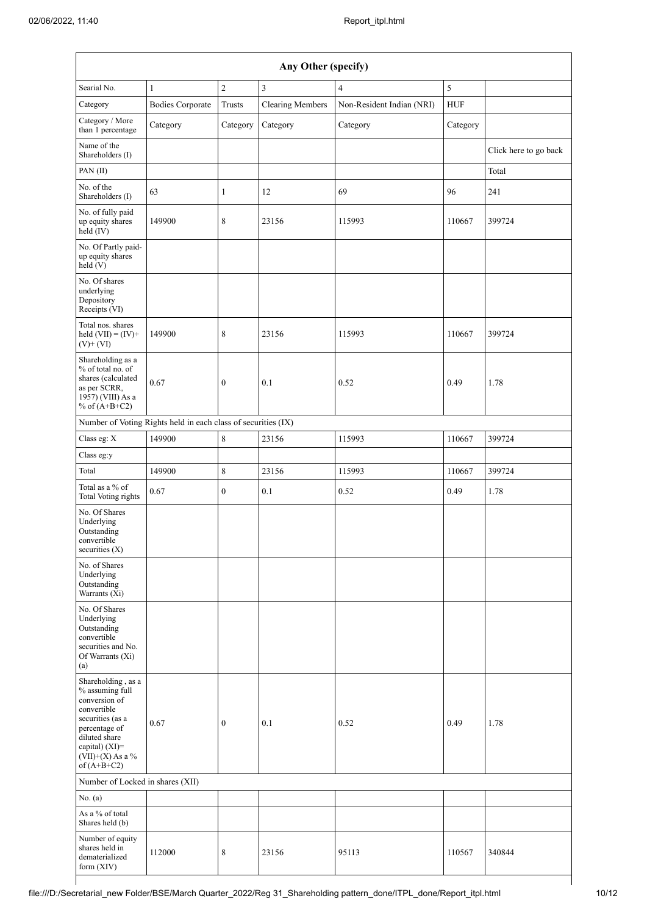| Any Other (specify)                                                                                                                                                                  |                                                               |                  |                         |                           |            |                       |  |  |  |
|--------------------------------------------------------------------------------------------------------------------------------------------------------------------------------------|---------------------------------------------------------------|------------------|-------------------------|---------------------------|------------|-----------------------|--|--|--|
| Searial No.                                                                                                                                                                          | $\mathbf{1}$                                                  | $\sqrt{2}$       | $\overline{3}$          | $\overline{4}$            | 5          |                       |  |  |  |
| Category                                                                                                                                                                             | <b>Bodies Corporate</b>                                       | Trusts           | <b>Clearing Members</b> | Non-Resident Indian (NRI) | <b>HUF</b> |                       |  |  |  |
| Category / More<br>than 1 percentage                                                                                                                                                 | Category                                                      | Category         | Category                | Category                  | Category   |                       |  |  |  |
| Name of the<br>Shareholders (I)                                                                                                                                                      |                                                               |                  |                         |                           |            | Click here to go back |  |  |  |
| PAN(II)                                                                                                                                                                              |                                                               |                  |                         |                           |            | Total                 |  |  |  |
| No. of the<br>Shareholders (I)                                                                                                                                                       | 63                                                            | $\mathbf{1}$     | 12                      | 69                        | 96         | 241                   |  |  |  |
| No. of fully paid<br>up equity shares<br>held (IV)                                                                                                                                   | 149900                                                        | 8                | 23156                   | 115993                    | 110667     | 399724                |  |  |  |
| No. Of Partly paid-<br>up equity shares<br>held(V)                                                                                                                                   |                                                               |                  |                         |                           |            |                       |  |  |  |
| No. Of shares<br>underlying<br>Depository<br>Receipts (VI)                                                                                                                           |                                                               |                  |                         |                           |            |                       |  |  |  |
| Total nos. shares<br>held $(VII) = (IV) +$<br>$(V)$ + $(VI)$                                                                                                                         | 149900                                                        | 8                | 23156                   | 115993                    | 110667     | 399724                |  |  |  |
| Shareholding as a<br>% of total no. of<br>shares (calculated<br>as per SCRR,<br>1957) (VIII) As a<br>% of $(A+B+C2)$                                                                 | 0.67                                                          | $\boldsymbol{0}$ | 0.1                     | 0.52                      | 0.49       | 1.78                  |  |  |  |
|                                                                                                                                                                                      | Number of Voting Rights held in each class of securities (IX) |                  |                         |                           |            |                       |  |  |  |
| Class eg: X                                                                                                                                                                          | 149900                                                        | 8                | 23156                   | 115993                    | 110667     | 399724                |  |  |  |
| Class eg:y                                                                                                                                                                           |                                                               |                  |                         |                           |            |                       |  |  |  |
| Total                                                                                                                                                                                | 149900                                                        | $\,$ 8 $\,$      | 23156                   | 115993                    | 110667     | 399724                |  |  |  |
| Total as a % of<br><b>Total Voting rights</b>                                                                                                                                        | 0.67                                                          | $\boldsymbol{0}$ | 0.1                     | 0.52                      | 0.49       | 1.78                  |  |  |  |
| No. Of Shares<br>Underlying<br>Outstanding<br>convertible<br>securities $(X)$                                                                                                        |                                                               |                  |                         |                           |            |                       |  |  |  |
| No. of Shares<br>Underlying<br>Outstanding<br>Warrants (Xi)                                                                                                                          |                                                               |                  |                         |                           |            |                       |  |  |  |
| No. Of Shares<br>Underlying<br>Outstanding<br>convertible<br>securities and No.<br>Of Warrants (Xi)<br>(a)                                                                           |                                                               |                  |                         |                           |            |                       |  |  |  |
| Shareholding, as a<br>% assuming full<br>conversion of<br>convertible<br>securities (as a<br>percentage of<br>diluted share<br>capital) (XI)=<br>$(VII)+(X)$ As a %<br>of $(A+B+C2)$ | 0.67                                                          | $\boldsymbol{0}$ | 0.1                     | 0.52                      | 0.49       | 1.78                  |  |  |  |
| Number of Locked in shares (XII)                                                                                                                                                     |                                                               |                  |                         |                           |            |                       |  |  |  |
| No. (a)                                                                                                                                                                              |                                                               |                  |                         |                           |            |                       |  |  |  |
| As a % of total<br>Shares held (b)                                                                                                                                                   |                                                               |                  |                         |                           |            |                       |  |  |  |
| Number of equity<br>shares held in<br>dematerialized<br>form (XIV)                                                                                                                   | 112000                                                        | 8                | 23156                   | 95113                     | 110567     | 340844                |  |  |  |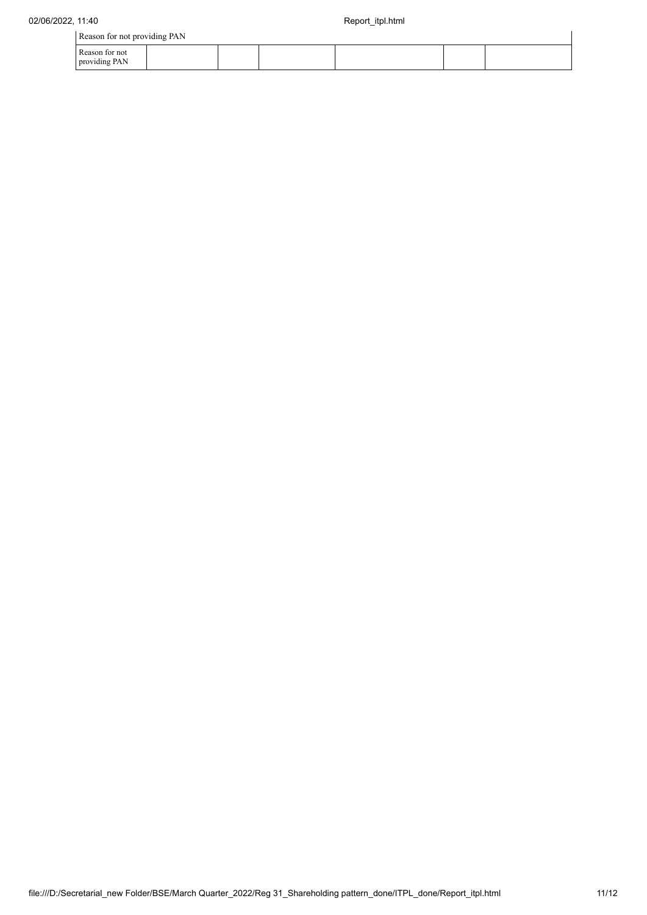| Reason for not providing PAN    |  |  |  |  |  |  |  |  |  |  |
|---------------------------------|--|--|--|--|--|--|--|--|--|--|
| Reason for not<br>providing PAN |  |  |  |  |  |  |  |  |  |  |